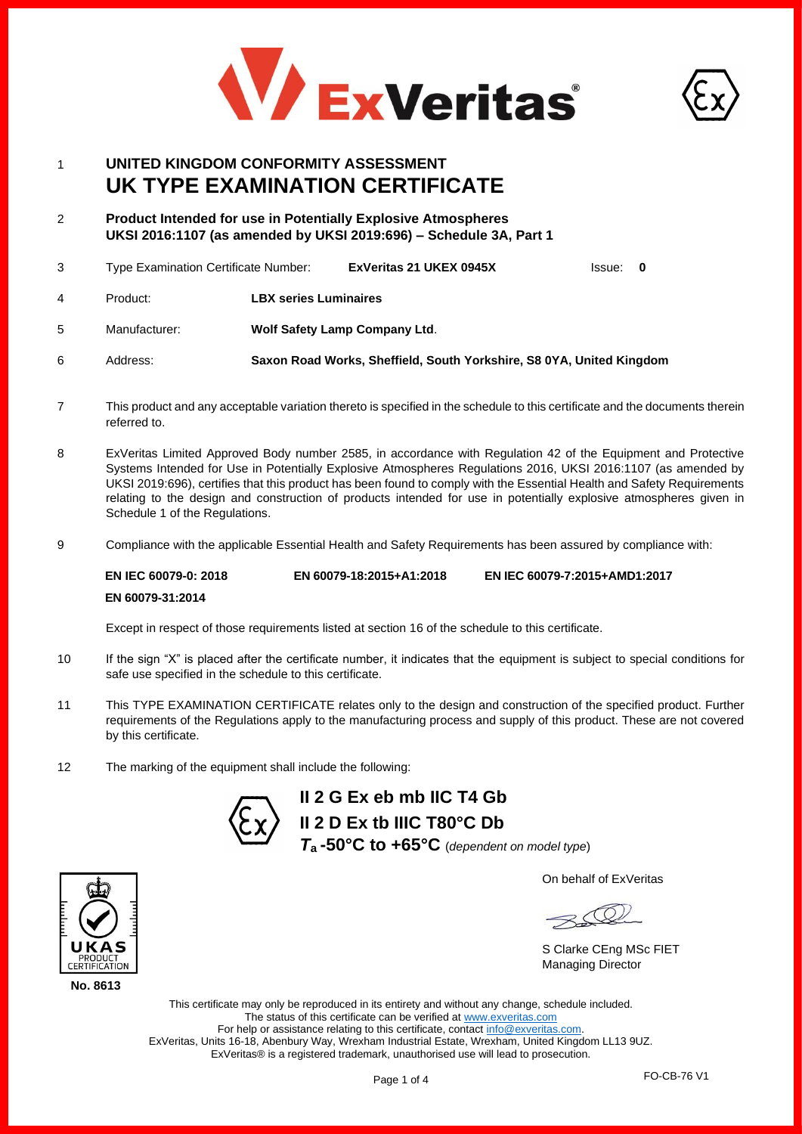



# 1 **UNITED KINGDOM CONFORMITY ASSESSMENT UK TYPE EXAMINATION CERTIFICATE**

2 **Product Intended for use in Potentially Explosive Atmospheres UKSI 2016:1107 (as amended by UKSI 2019:696) – Schedule 3A, Part 1**

|   | Type Examination Certificate Number: |                                      | ExVeritas 21 UKEX 0945X | Issue: 0 |  |
|---|--------------------------------------|--------------------------------------|-------------------------|----------|--|
| 4 | Product:                             | <b>LBX series Luminaires</b>         |                         |          |  |
| 5 | Manufacturer:                        | <b>Wolf Safety Lamp Company Ltd.</b> |                         |          |  |

- 6 Address: **Saxon Road Works, Sheffield, South Yorkshire, S8 0YA, United Kingdom**
- 7 This product and any acceptable variation thereto is specified in the schedule to this certificate and the documents therein referred to.
- 8 ExVeritas Limited Approved Body number 2585, in accordance with Regulation 42 of the Equipment and Protective Systems Intended for Use in Potentially Explosive Atmospheres Regulations 2016, UKSI 2016:1107 (as amended by UKSI 2019:696), certifies that this product has been found to comply with the Essential Health and Safety Requirements relating to the design and construction of products intended for use in potentially explosive atmospheres given in Schedule 1 of the Regulations.
- 9 Compliance with the applicable Essential Health and Safety Requirements has been assured by compliance with:

**EN IEC 60079-0: 2018 EN 60079-31:2014 EN 60079-18:2015+A1:2018 EN IEC 60079-7:2015+AMD1:2017**

Except in respect of those requirements listed at section 16 of the schedule to this certificate.

- 10 If the sign "X" is placed after the certificate number, it indicates that the equipment is subject to special conditions for safe use specified in the schedule to this certificate.
- 11 This TYPE EXAMINATION CERTIFICATE relates only to the design and construction of the specified product. Further requirements of the Regulations apply to the manufacturing process and supply of this product. These are not covered by this certificate.
- 12 The marking of the equipment shall include the following:



**II 2 G Ex eb mb IIC T4 Gb II 2 D Ex tb IIIC T80°C Db** *T***a -50°C to +65°C** (*dependent on model type*)

On behalf of ExVeritas

S Clarke CEng MSc FIET Managing Director

This certificate may only be reproduced in its entirety and without any change, schedule included. The status of this certificate can be verified a[t www.exveritas.com](http://www.exveritas.com/) For help or assistance relating to this certificate, contact [info@exveritas.com.](mailto:info@exveritas.com) ExVeritas, Units 16-18, Abenbury Way, Wrexham Industrial Estate, Wrexham, United Kingdom LL13 9UZ. ExVeritas® is a registered trademark, unauthorised use will lead to prosecution.



**No. 8613**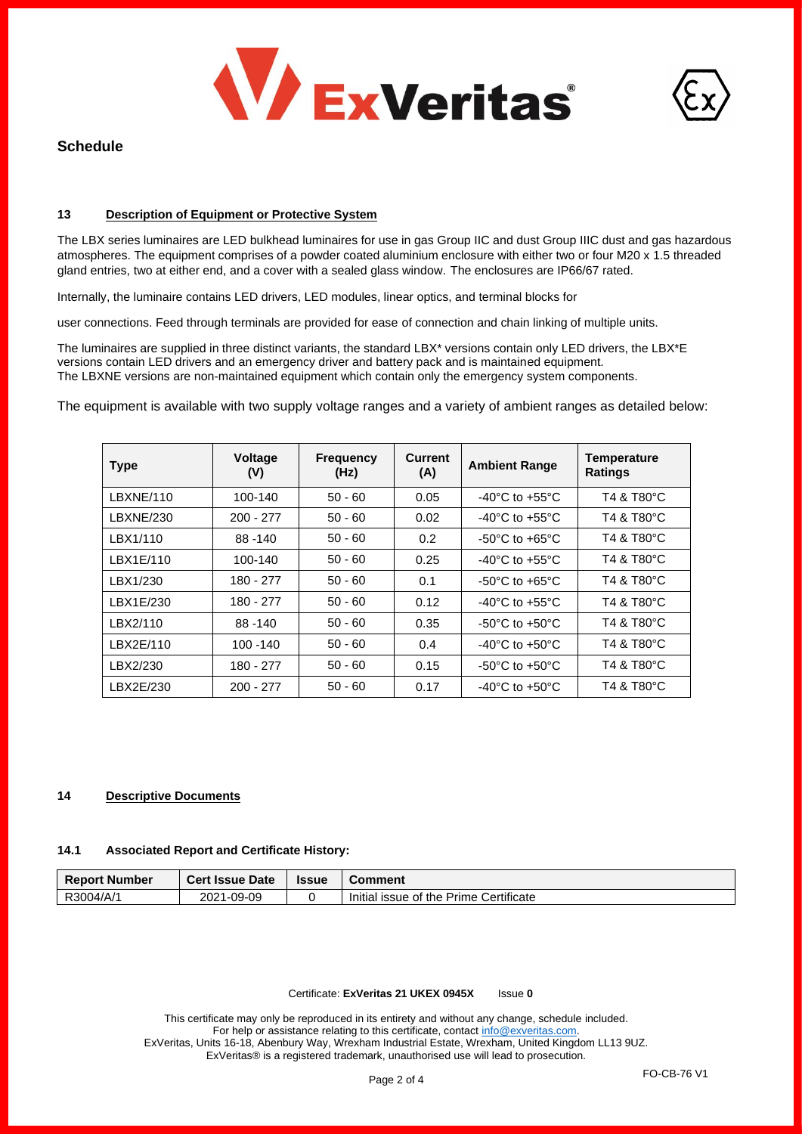



# **Schedule**

### **13 Description of Equipment or Protective System**

The LBX series luminaires are LED bulkhead luminaires for use in gas Group IIC and dust Group IIIC dust and gas hazardous atmospheres. The equipment comprises of a powder coated aluminium enclosure with either two or four M20 x 1.5 threaded gland entries, two at either end, and a cover with a sealed glass window. The enclosures are IP66/67 rated.

Internally, the luminaire contains LED drivers, LED modules, linear optics, and terminal blocks for

user connections. Feed through terminals are provided for ease of connection and chain linking of multiple units.

The luminaires are supplied in three distinct variants, the standard LBX\* versions contain only LED drivers, the LBX\*E versions contain LED drivers and an emergency driver and battery pack and is maintained equipment. The LBXNE versions are non-maintained equipment which contain only the emergency system components.

The equipment is available with two supply voltage ranges and a variety of ambient ranges as detailed below:

| <b>Type</b> | <b>Voltage</b><br>(V) | <b>Frequency</b><br>(Hz) | <b>Current</b><br>(A) | <b>Ambient Range</b>               | <b>Temperature</b><br><b>Ratings</b> |
|-------------|-----------------------|--------------------------|-----------------------|------------------------------------|--------------------------------------|
| LBXNE/110   | 100-140               | $50 - 60$                | 0.05                  | $-40^{\circ}$ C to $+55^{\circ}$ C | T4 & T80°C                           |
| LBXNE/230   | $200 - 277$           | $50 - 60$                | 0.02                  | $-40^{\circ}$ C to $+55^{\circ}$ C | T4 & T80°C                           |
| LBX1/110    | 88 - 140              | $50 - 60$                | 0.2                   | $-50^{\circ}$ C to $+65^{\circ}$ C | T4 & T80°C                           |
| LBX1E/110   | 100-140               | $50 - 60$                | 0.25                  | $-40^{\circ}$ C to $+55^{\circ}$ C | T4 & T80°C                           |
| LBX1/230    | 180 - 277             | $50 - 60$                | 0.1                   | $-50^{\circ}$ C to $+65^{\circ}$ C | T4 & T80°C                           |
| LBX1E/230   | 180 - 277             | $50 - 60$                | 0.12                  | $-40^{\circ}$ C to $+55^{\circ}$ C | T4 & T80°C                           |
| LBX2/110    | 88 - 140              | $50 - 60$                | 0.35                  | $-50^{\circ}$ C to $+50^{\circ}$ C | T4 & T80°C                           |
| LBX2E/110   | 100 - 140             | $50 - 60$                | 0.4                   | $-40^{\circ}$ C to $+50^{\circ}$ C | T4 & T80°C                           |
| LBX2/230    | 180 - 277             | $50 - 60$                | 0.15                  | $-50^{\circ}$ C to $+50^{\circ}$ C | T4 & T80°C                           |
| LBX2E/230   | $200 - 277$           | $50 - 60$                | 0.17                  | $-40^{\circ}$ C to $+50^{\circ}$ C | T4 & T80°C                           |

#### **14 Descriptive Documents**

#### **14.1 Associated Report and Certificate History:**

| <b>Report Number</b> | <b>Cert Issue Date</b> | <b>Issue</b> | Comment                                |
|----------------------|------------------------|--------------|----------------------------------------|
| R3004/A/1            | 2021-09-09             |              | Initial issue of the Prime Certificate |

#### Certificate: **ExVeritas 21 UKEX 0945X** Issue **0**

This certificate may only be reproduced in its entirety and without any change, schedule included. For help or assistance relating to this certificate, contac[t info@exveritas.com.](mailto:info@exveritas.com) ExVeritas, Units 16-18, Abenbury Way, Wrexham Industrial Estate, Wrexham, United Kingdom LL13 9UZ. ExVeritas® is a registered trademark, unauthorised use will lead to prosecution.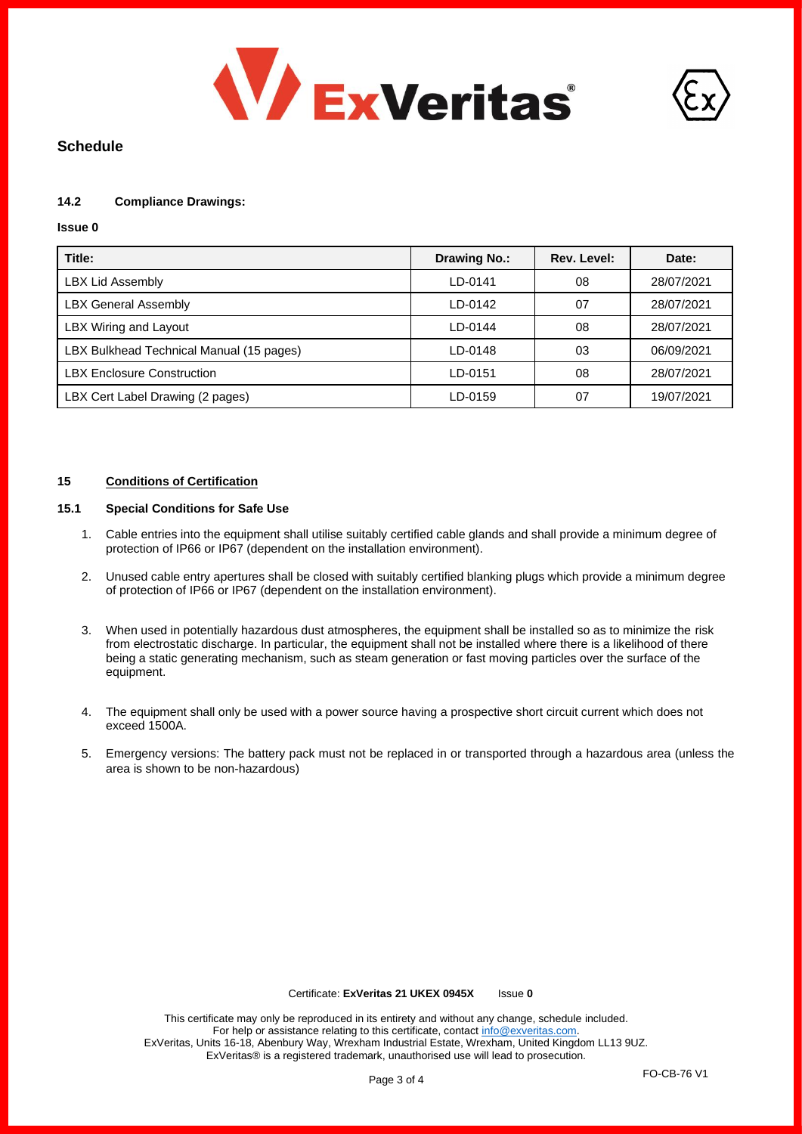



# **Schedule**

## **14.2 Compliance Drawings:**

#### **Issue 0**

| Title:                                   | Drawing No.: | Rev. Level: | Date:      |
|------------------------------------------|--------------|-------------|------------|
| <b>LBX Lid Assembly</b>                  | LD-0141      | 08          | 28/07/2021 |
| <b>LBX General Assembly</b>              | LD-0142      | 07          | 28/07/2021 |
| LBX Wiring and Layout                    | LD-0144      | 08          | 28/07/2021 |
| LBX Bulkhead Technical Manual (15 pages) | LD-0148      | 03          | 06/09/2021 |
| <b>LBX Enclosure Construction</b>        | LD-0151      | 08          | 28/07/2021 |
| LBX Cert Label Drawing (2 pages)         | LD-0159      | 07          | 19/07/2021 |

## **15 Conditions of Certification**

# **15.1 Special Conditions for Safe Use**

- 1. Cable entries into the equipment shall utilise suitably certified cable glands and shall provide a minimum degree of protection of IP66 or IP67 (dependent on the installation environment).
- 2. Unused cable entry apertures shall be closed with suitably certified blanking plugs which provide a minimum degree of protection of IP66 or IP67 (dependent on the installation environment).
- 3. When used in potentially hazardous dust atmospheres, the equipment shall be installed so as to minimize the risk from electrostatic discharge. In particular, the equipment shall not be installed where there is a likelihood of there being a static generating mechanism, such as steam generation or fast moving particles over the surface of the equipment.
- 4. The equipment shall only be used with a power source having a prospective short circuit current which does not exceed 1500A.
- 5. Emergency versions: The battery pack must not be replaced in or transported through a hazardous area (unless the area is shown to be non-hazardous)

#### Certificate: **ExVeritas 21 UKEX 0945X** Issue **0**

This certificate may only be reproduced in its entirety and without any change, schedule included. For help or assistance relating to this certificate, contac[t info@exveritas.com.](mailto:info@exveritas.com) ExVeritas, Units 16-18, Abenbury Way, Wrexham Industrial Estate, Wrexham, United Kingdom LL13 9UZ. ExVeritas® is a registered trademark, unauthorised use will lead to prosecution.